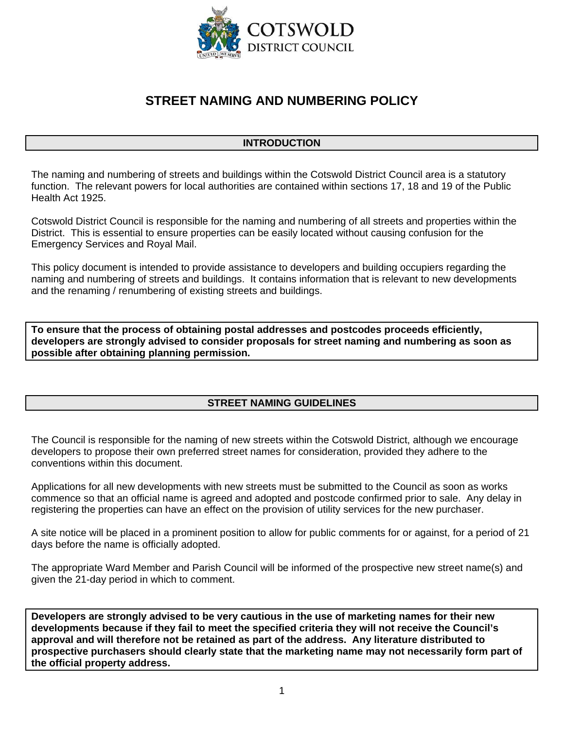

# **STREET NAMING AND NUMBERING POLICY**

## **INTRODUCTION**

The naming and numbering of streets and buildings within the Cotswold District Council area is a statutory function. The relevant powers for local authorities are contained within sections 17, 18 and 19 of the Public Health Act 1925.

Cotswold District Council is responsible for the naming and numbering of all streets and properties within the District. This is essential to ensure properties can be easily located without causing confusion for the Emergency Services and Royal Mail.

This policy document is intended to provide assistance to developers and building occupiers regarding the naming and numbering of streets and buildings. It contains information that is relevant to new developments and the renaming / renumbering of existing streets and buildings.

**To ensure that the process of obtaining postal addresses and postcodes proceeds efficiently, developers are strongly advised to consider proposals for street naming and numbering as soon as possible after obtaining planning permission.** 

# **STREET NAMING GUIDELINES**

The Council is responsible for the naming of new streets within the Cotswold District, although we encourage developers to propose their own preferred street names for consideration, provided they adhere to the conventions within this document.

Applications for all new developments with new streets must be submitted to the Council as soon as works commence so that an official name is agreed and adopted and postcode confirmed prior to sale. Any delay in registering the properties can have an effect on the provision of utility services for the new purchaser.

A site notice will be placed in a prominent position to allow for public comments for or against, for a period of 21 days before the name is officially adopted.

The appropriate Ward Member and Parish Council will be informed of the prospective new street name(s) and given the 21-day period in which to comment.

**Developers are strongly advised to be very cautious in the use of marketing names for their new developments because if they fail to meet the specified criteria they will not receive the Council's approval and will therefore not be retained as part of the address. Any literature distributed to prospective purchasers should clearly state that the marketing name may not necessarily form part of the official property address.**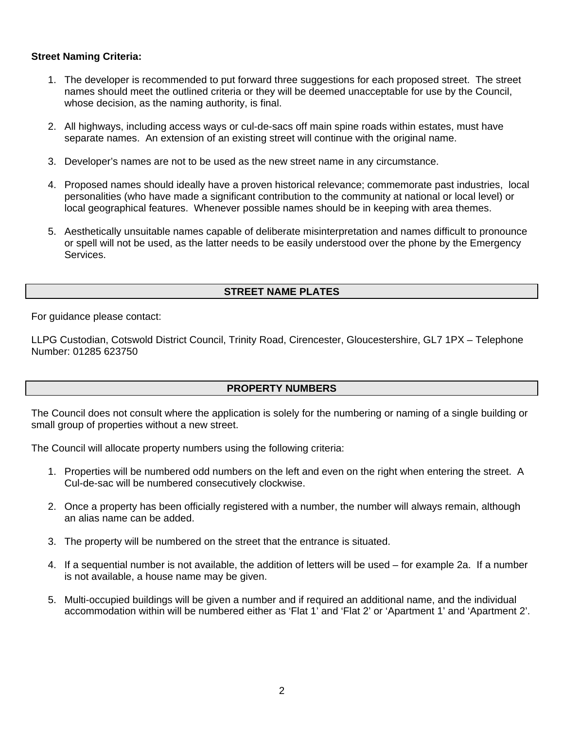#### **Street Naming Criteria:**

- 1. The developer is recommended to put forward three suggestions for each proposed street. The street names should meet the outlined criteria or they will be deemed unacceptable for use by the Council, whose decision, as the naming authority, is final.
- 2. All highways, including access ways or cul-de-sacs off main spine roads within estates, must have separate names. An extension of an existing street will continue with the original name.
- 3. Developer's names are not to be used as the new street name in any circumstance.
- 4. Proposed names should ideally have a proven historical relevance; commemorate past industries, local personalities (who have made a significant contribution to the community at national or local level) or local geographical features. Whenever possible names should be in keeping with area themes.
- 5. Aesthetically unsuitable names capable of deliberate misinterpretation and names difficult to pronounce or spell will not be used, as the latter needs to be easily understood over the phone by the Emergency Services.

## **STREET NAME PLATES**

For guidance please contact:

LLPG Custodian, Cotswold District Council, Trinity Road, Cirencester, Gloucestershire, GL7 1PX – Telephone Number: 01285 623750

#### **PROPERTY NUMBERS**

The Council does not consult where the application is solely for the numbering or naming of a single building or small group of properties without a new street.

The Council will allocate property numbers using the following criteria:

- 1. Properties will be numbered odd numbers on the left and even on the right when entering the street. A Cul-de-sac will be numbered consecutively clockwise.
- 2. Once a property has been officially registered with a number, the number will always remain, although an alias name can be added.
- 3. The property will be numbered on the street that the entrance is situated.
- 4. If a sequential number is not available, the addition of letters will be used for example 2a. If a number is not available, a house name may be given.
- 5. Multi-occupied buildings will be given a number and if required an additional name, and the individual accommodation within will be numbered either as 'Flat 1' and 'Flat 2' or 'Apartment 1' and 'Apartment 2'.